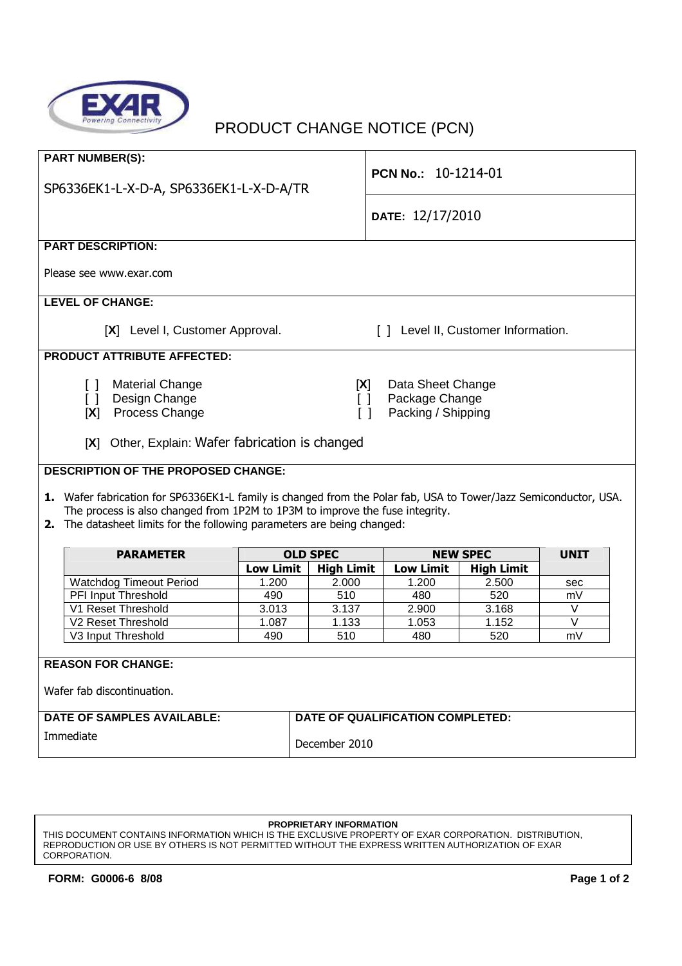

## PRODUCT CHANGE NOTICE (PCN)

| <b>PART NUMBER(S):</b><br>SP6336EK1-L-X-D-A, SP6336EK1-L-X-D-A/TR                                                                                                                                                                                                             |                                            |                   | <b>PCN No.: 10-1214-01</b> |                   |             |  |
|-------------------------------------------------------------------------------------------------------------------------------------------------------------------------------------------------------------------------------------------------------------------------------|--------------------------------------------|-------------------|----------------------------|-------------------|-------------|--|
|                                                                                                                                                                                                                                                                               |                                            |                   |                            |                   |             |  |
|                                                                                                                                                                                                                                                                               |                                            |                   | DATE: 12/17/2010           |                   |             |  |
| <b>PART DESCRIPTION:</b>                                                                                                                                                                                                                                                      |                                            |                   |                            |                   |             |  |
| Please see www.exar.com                                                                                                                                                                                                                                                       |                                            |                   |                            |                   |             |  |
| <b>LEVEL OF CHANGE:</b>                                                                                                                                                                                                                                                       |                                            |                   |                            |                   |             |  |
| [X] Level I, Customer Approval.<br>[ ] Level II, Customer Information.                                                                                                                                                                                                        |                                            |                   |                            |                   |             |  |
| <b>PRODUCT ATTRIBUTE AFFECTED:</b>                                                                                                                                                                                                                                            |                                            |                   |                            |                   |             |  |
| Material Change<br>Data Sheet Change<br>$\begin{bmatrix} \end{bmatrix}$<br>[X]<br>Design Change<br>Package Change<br>$\begin{bmatrix} 1 \end{bmatrix}$<br>$\Box$<br>Process Change<br>Packing / Shipping<br>[X]<br>$\Box$<br>[X] Other, Explain: Wafer fabrication is changed |                                            |                   |                            |                   |             |  |
|                                                                                                                                                                                                                                                                               | <b>DESCRIPTION OF THE PROPOSED CHANGE:</b> |                   |                            |                   |             |  |
| 1. Wafer fabrication for SP6336EK1-L family is changed from the Polar fab, USA to Tower/Jazz Semiconductor, USA.                                                                                                                                                              |                                            |                   |                            |                   |             |  |
| The process is also changed from 1P2M to 1P3M to improve the fuse integrity.                                                                                                                                                                                                  |                                            |                   |                            |                   |             |  |
| 2. The datasheet limits for the following parameters are being changed:                                                                                                                                                                                                       |                                            |                   |                            |                   |             |  |
|                                                                                                                                                                                                                                                                               |                                            |                   |                            |                   |             |  |
| <b>PARAMETER</b>                                                                                                                                                                                                                                                              |                                            | <b>OLD SPEC</b>   |                            | <b>NEW SPEC</b>   | <b>UNIT</b> |  |
|                                                                                                                                                                                                                                                                               | <b>Low Limit</b>                           | <b>High Limit</b> | <b>Low Limit</b>           | <b>High Limit</b> |             |  |
| <b>Watchdog Timeout Period</b>                                                                                                                                                                                                                                                | 1.200<br>490                               | 2.000<br>510      | 1.200<br>480               | 2.500<br>520      | sec<br>mV   |  |
| PFI Input Threshold<br>V1 Reset Threshold                                                                                                                                                                                                                                     | 3.013                                      | 3.137             | 2.900                      | 3.168             | V           |  |
| V2 Reset Threshold                                                                                                                                                                                                                                                            | 1.087                                      | 1.133             | 1.053                      | 1.152             | $\vee$      |  |
| V3 Input Threshold                                                                                                                                                                                                                                                            | 490                                        | 510               | 480                        | 520               | mV          |  |
|                                                                                                                                                                                                                                                                               |                                            |                   |                            |                   |             |  |
| <b>REASON FOR CHANGE:</b>                                                                                                                                                                                                                                                     |                                            |                   |                            |                   |             |  |
| Wafer fab discontinuation.                                                                                                                                                                                                                                                    |                                            |                   |                            |                   |             |  |
| <b>DATE OF SAMPLES AVAILABLE:</b><br>DATE OF QUALIFICATION COMPLETED:                                                                                                                                                                                                         |                                            |                   |                            |                   |             |  |
| Immediate                                                                                                                                                                                                                                                                     |                                            | December 2010     |                            |                   |             |  |

## **PROPRIETARY INFORMATION**

THIS DOCUMENT CONTAINS INFORMATION WHICH IS THE EXCLUSIVE PROPERTY OF EXAR CORPORATION. DISTRIBUTION, REPRODUCTION OR USE BY OTHERS IS NOT PERMITTED WITHOUT THE EXPRESS WRITTEN AUTHORIZATION OF EXAR CORPORATION.